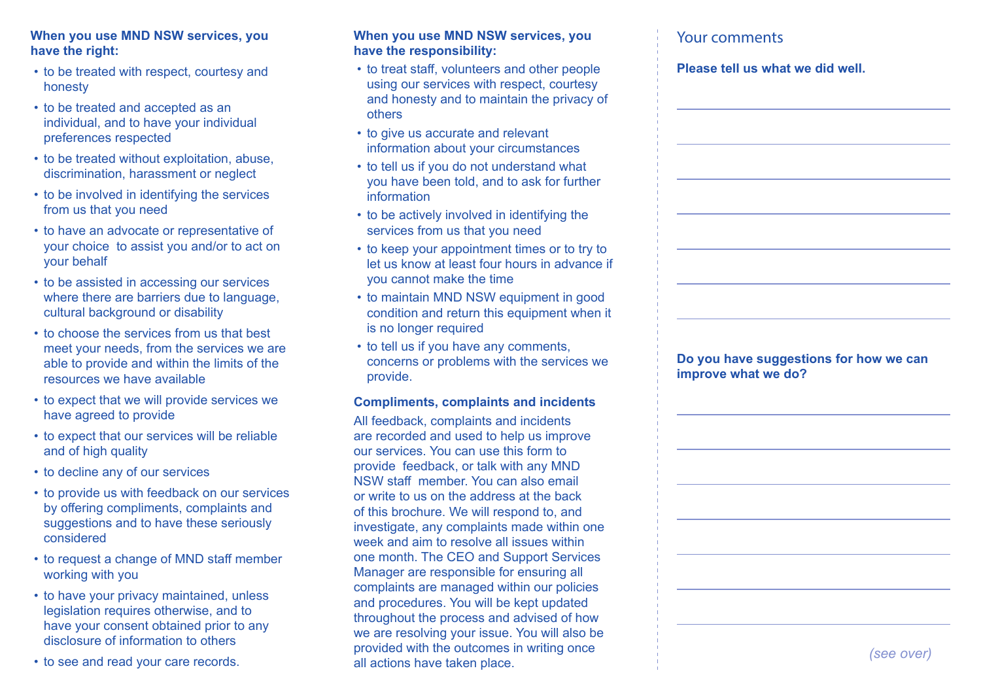#### **When you use MND NSW services, you have the right:**

- to be treated with respect, courtesy and honesty
- to be treated and accepted as an individual, and to have your individual preferences respected
- to be treated without exploitation, abuse. discrimination, harassment or neglect
- to be involved in identifying the services from us that you need
- to have an advocate or representative of your choice to assist you and/or to act on your behalf
- to be assisted in accessing our services where there are barriers due to language, cultural background or disability
- to choose the services from us that best meet your needs, from the services we are able to provide and within the limits of the resources we have available
- to expect that we will provide services we have agreed to provide
- to expect that our services will be reliable and of high quality
- to decline any of our services
- to provide us with feedback on our services by offering compliments, complaints and suggestions and to have these seriously considered
- to request a change of MND staff member working with you
- to have your privacy maintained, unless legislation requires otherwise, and to have your consent obtained prior to any disclosure of information to others
- to see and read your care records.

#### **When you use MND NSW services, you have the responsibility:**

- to treat staff, volunteers and other people using our services with respect, courtesy and honesty and to maintain the privacy of others
- to give us accurate and relevant information about your circumstances
- to tell us if you do not understand what you have been told, and to ask for further information
- to be actively involved in identifying the services from us that you need
- to keep your appointment times or to try to let us know at least four hours in advance if you cannot make the time
- to maintain MND NSW equipment in good condition and return this equipment when it is no longer required
- to tell us if you have any comments, concerns or problems with the services we provide.

#### **Compliments, complaints and incidents**

All feedback, complaints and incidents are recorded and used to help us improve our services. You can use this form to provide feedback, or talk with any MND NSW staff member. You can also email or write to us on the address at the back of this brochure. We will respond to, and investigate, any complaints made within one week and aim to resolve all issues within one month. The CEO and Support Services Manager are responsible for ensuring all complaints are managed within our policies and procedures. You will be kept updated throughout the process and advised of how we are resolving your issue. You will also be provided with the outcomes in writing once all actions have taken place.

# Your comments

#### **Please tell us what we did well.**

**Do you have suggestions for how we can improve what we do?**